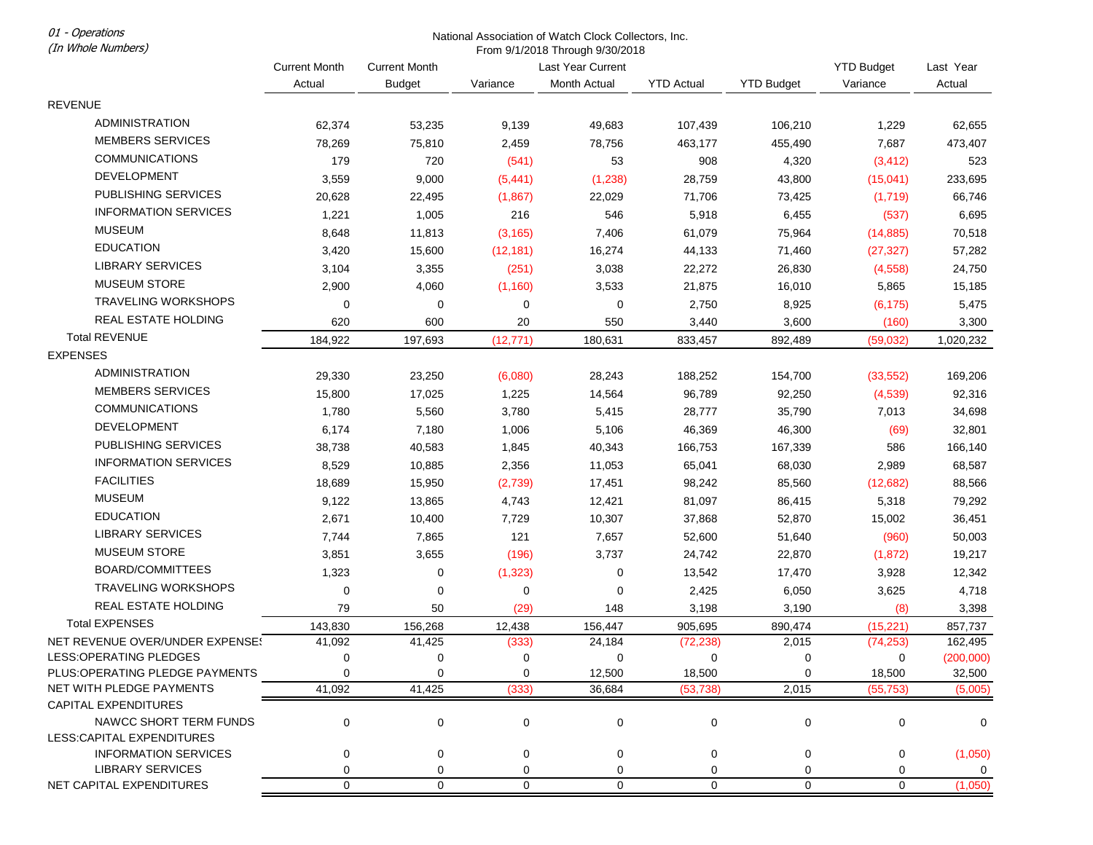01 - Operations (In Whole Numbers)

## National Association of Watch Clock Collectors, Inc. From 9/1/2018 Through 9/30/2018

|                                                            | <b>Current Month</b> | <b>Current Month</b> | Last Year Current |              |                   |                   | <b>YTD Budget</b> | Last Year            |
|------------------------------------------------------------|----------------------|----------------------|-------------------|--------------|-------------------|-------------------|-------------------|----------------------|
|                                                            | Actual               | <b>Budget</b>        | Variance          | Month Actual | <b>YTD Actual</b> | <b>YTD Budget</b> | Variance          | Actual               |
| <b>REVENUE</b>                                             |                      |                      |                   |              |                   |                   |                   |                      |
| <b>ADMINISTRATION</b>                                      | 62,374               | 53,235               | 9,139             | 49,683       | 107,439           | 106,210           | 1,229             | 62,655               |
| <b>MEMBERS SERVICES</b>                                    | 78,269               | 75,810               | 2,459             | 78,756       | 463,177           | 455,490           | 7,687             | 473,407              |
| <b>COMMUNICATIONS</b>                                      | 179                  | 720                  | (541)             | 53           | 908               | 4,320             | (3, 412)          | 523                  |
| <b>DEVELOPMENT</b>                                         | 3,559                | 9,000                | (5, 441)          | (1, 238)     | 28,759            | 43,800            | (15,041)          | 233,695              |
| PUBLISHING SERVICES                                        | 20,628               | 22,495               | (1,867)           | 22,029       | 71,706            | 73,425            | (1,719)           | 66,746               |
| <b>INFORMATION SERVICES</b>                                | 1,221                | 1,005                | 216               | 546          | 5,918             | 6,455             | (537)             | 6,695                |
| <b>MUSEUM</b>                                              | 8,648                | 11,813               | (3, 165)          | 7,406        | 61,079            | 75,964            | (14, 885)         | 70,518               |
| <b>EDUCATION</b>                                           | 3,420                | 15,600               | (12, 181)         | 16,274       | 44,133            | 71,460            | (27, 327)         | 57,282               |
| <b>LIBRARY SERVICES</b>                                    | 3,104                | 3,355                | (251)             | 3,038        | 22,272            | 26,830            | (4, 558)          | 24,750               |
| <b>MUSEUM STORE</b>                                        | 2,900                | 4,060                | (1, 160)          | 3,533        | 21,875            | 16,010            | 5,865             | 15,185               |
| <b>TRAVELING WORKSHOPS</b>                                 | $\mathbf 0$          | 0                    | 0                 | 0            | 2,750             | 8,925             | (6, 175)          | 5,475                |
| REAL ESTATE HOLDING                                        | 620                  | 600                  | 20                | 550          | 3,440             | 3,600             | (160)             | 3,300                |
| <b>Total REVENUE</b>                                       | 184,922              | 197,693              | (12, 771)         | 180,631      | 833,457           | 892,489           | (59,032)          | 1,020,232            |
| <b>EXPENSES</b>                                            |                      |                      |                   |              |                   |                   |                   |                      |
| <b>ADMINISTRATION</b>                                      | 29,330               | 23,250               | (6,080)           | 28,243       | 188,252           | 154,700           | (33, 552)         | 169,206              |
| <b>MEMBERS SERVICES</b>                                    | 15,800               | 17,025               | 1,225             | 14,564       | 96,789            | 92,250            | (4,539)           | 92,316               |
| <b>COMMUNICATIONS</b>                                      | 1,780                | 5,560                | 3,780             | 5,415        | 28,777            | 35,790            | 7,013             | 34,698               |
| <b>DEVELOPMENT</b>                                         | 6,174                | 7,180                | 1,006             | 5,106        | 46,369            | 46,300            | (69)              | 32,801               |
| PUBLISHING SERVICES                                        | 38,738               | 40,583               | 1,845             | 40,343       | 166,753           | 167,339           | 586               | 166,140              |
| <b>INFORMATION SERVICES</b>                                | 8,529                |                      |                   |              | 65,041            |                   |                   |                      |
| <b>FACILITIES</b>                                          | 18,689               | 10,885               | 2,356             | 11,053       |                   | 68,030            | 2,989             | 68,587               |
| <b>MUSEUM</b>                                              | 9,122                | 15,950               | (2,739)           | 17,451       | 98,242            | 85,560            | (12,682)          | 88,566               |
| <b>EDUCATION</b>                                           |                      | 13,865               | 4,743             | 12,421       | 81,097            | 86,415            | 5,318             | 79,292               |
| LIBRARY SERVICES                                           | 2,671                | 10,400               | 7,729             | 10,307       | 37,868            | 52,870            | 15,002            | 36,451               |
| <b>MUSEUM STORE</b>                                        | 7,744                | 7,865                | 121               | 7,657        | 52,600            | 51,640            | (960)             | 50,003               |
| BOARD/COMMITTEES                                           | 3,851                | 3,655                | (196)             | 3,737        | 24,742            | 22,870            | (1, 872)          | 19,217               |
| <b>TRAVELING WORKSHOPS</b>                                 | 1,323                | 0                    | (1, 323)          | 0            | 13,542            | 17,470            | 3,928             | 12,342               |
|                                                            | $\mathbf 0$          | 0                    | 0                 | 0            | 2,425             | 6,050             | 3,625             | 4,718                |
| REAL ESTATE HOLDING                                        | 79                   | 50                   | (29)              | 148          | 3,198             | 3,190             | (8)               | 3,398                |
| <b>Total EXPENSES</b>                                      | 143,830              | 156,268              | 12,438            | 156,447      | 905,695           | 890,474           | (15, 221)         | 857,737              |
| NET REVENUE OVER/UNDER EXPENSE!<br>LESS: OPERATING PLEDGES | 41,092<br>0          | 41,425<br>0          | (333)<br>0        | 24,184<br>0  | (72, 238)<br>0    | 2,015<br>0        | (74, 253)<br>0    | 162,495<br>(200,000) |
| PLUS: OPERATING PLEDGE PAYMENTS                            | 0                    | 0                    |                   | 12,500       | 18,500            | 0                 | 18,500            | 32,500               |
| NET WITH PLEDGE PAYMENTS                                   | 41,092               | 41,425               | (333)             | 36,684       | (53, 738)         | 2,015             | (55, 753)         | (5,005)              |
| <b>CAPITAL EXPENDITURES</b>                                |                      |                      |                   |              |                   |                   |                   |                      |
| NAWCC SHORT TERM FUNDS                                     | 0                    | 0                    | 0                 | $\pmb{0}$    | 0                 | 0                 | 0                 | 0                    |
| LESS:CAPITAL EXPENDITURES                                  |                      |                      |                   |              |                   |                   |                   |                      |
| <b>INFORMATION SERVICES</b>                                | $\mathbf 0$          | 0                    | 0                 | 0            | 0                 | 0                 | 0                 | (1,050)              |
| LIBRARY SERVICES                                           | 0                    | 0                    | 0                 | 0            | 0                 | 0                 | 0                 | $\mathbf{0}$         |
| NET CAPITAL EXPENDITURES                                   | 0                    | 0                    | 0                 | 0            | 0                 | 0                 | 0                 | (1,050)              |